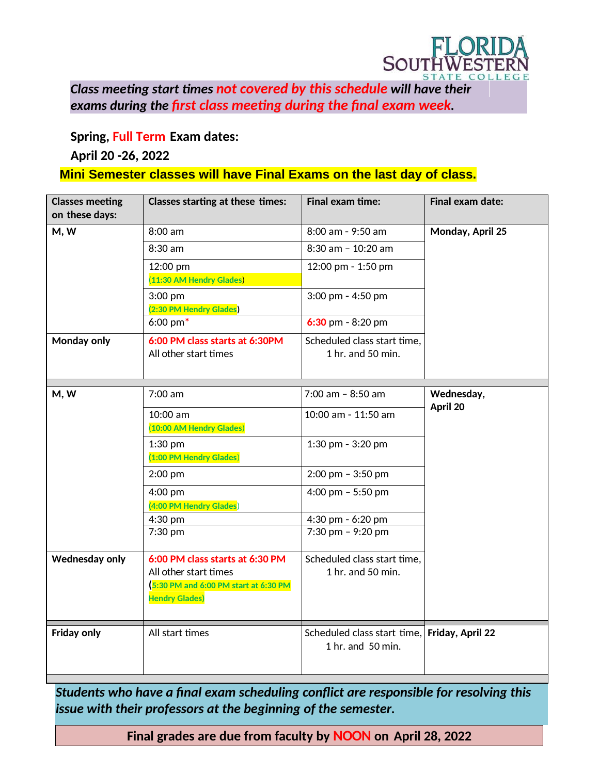

*Class meeting start times not covered by this schedule will have their final exams during the first class meeting during the final exam week.*

**Spring, Full Term Exam dates:**

## **April 20 -26, 2022**

## **Mini Semester classes will have Final Exams on the last day of class.**

| <b>Classes meeting</b><br>on these days: | Classes starting at these times:                                                                                          | <b>Final exam time:</b>                                           | Final exam date: |
|------------------------------------------|---------------------------------------------------------------------------------------------------------------------------|-------------------------------------------------------------------|------------------|
| M, W                                     | 8:00 am                                                                                                                   | 8:00 am - 9:50 am                                                 | Monday, April 25 |
|                                          | 8:30 am                                                                                                                   | 8:30 am - 10:20 am                                                |                  |
|                                          | 12:00 pm                                                                                                                  | 12:00 pm - 1:50 pm                                                |                  |
|                                          | (11:30 AM Hendry Glades)                                                                                                  |                                                                   |                  |
|                                          | 3:00 pm                                                                                                                   | 3:00 pm - 4:50 pm                                                 |                  |
|                                          | (2:30 PM Hendry Glades)<br>$6:00 \text{ pm}^*$                                                                            | $6:30$ pm - 8:20 pm                                               |                  |
|                                          |                                                                                                                           |                                                                   |                  |
| Monday only                              | 6:00 PM class starts at 6:30PM<br>All other start times                                                                   | Scheduled class start time.<br>1 hr. and 50 min.                  |                  |
| M, W                                     | 7:00 am                                                                                                                   | $7:00$ am - $8:50$ am                                             | Wednesday,       |
|                                          |                                                                                                                           |                                                                   | April 20         |
|                                          | 10:00 am                                                                                                                  | 10:00 am - 11:50 am                                               |                  |
|                                          | (10:00 AM Hendry Glades)                                                                                                  |                                                                   |                  |
|                                          | $1:30$ pm<br>(1:00 PM Hendry Glades)                                                                                      | 1:30 pm - 3:20 pm                                                 |                  |
|                                          |                                                                                                                           |                                                                   |                  |
|                                          | 2:00 pm                                                                                                                   | $2:00$ pm - $3:50$ pm                                             |                  |
|                                          | 4:00 pm                                                                                                                   | 4:00 pm $-$ 5:50 pm                                               |                  |
|                                          | (4:00 PM Hendry Glades)<br>4:30 pm                                                                                        | 4:30 pm - 6:20 pm                                                 |                  |
|                                          | 7:30 pm                                                                                                                   | 7:30 pm - 9:20 pm                                                 |                  |
|                                          |                                                                                                                           |                                                                   |                  |
| Wednesday only                           | 6:00 PM class starts at 6:30 PM<br>All other start times<br>5:30 PM and 6:00 PM start at 6:30 PM<br><b>Hendry Glades)</b> | Scheduled class start time.<br>1 hr. and 50 min.                  |                  |
| <b>Friday only</b>                       | All start times                                                                                                           | Scheduled class start time, Friday, April 22<br>1 hr. and 50 min. |                  |

*Students who have a final exam scheduling conflict are responsible for resolving this issue with their professors at the beginning of the semester.*

**Final grades are due from faculty by NOON on April 28, 2022**